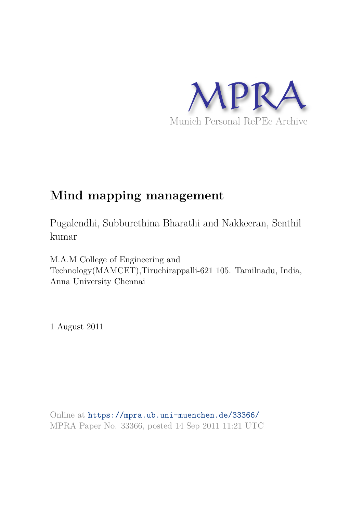

# **Mind mapping management**

Pugalendhi, Subburethina Bharathi and Nakkeeran, Senthil kumar

M.A.M College of Engineering and Technology(MAMCET),Tiruchirappalli-621 105. Tamilnadu, India, Anna University Chennai

1 August 2011

Online at https://mpra.ub.uni-muenchen.de/33366/ MPRA Paper No. 33366, posted 14 Sep 2011 11:21 UTC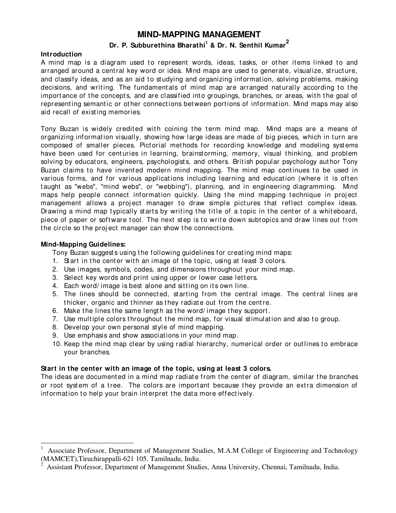# **MIND-MAPPING MANAGEMENT**

# **Dr. P. Subburethina Bharathi<sup>1</sup> & Dr. N. Senthil Kumar<sup>2</sup>**

#### **Introduction**

A mind map is a diagram used to represent words, ideas, tasks, or other items linked to and arranged around a central key word or idea. Mind maps are used to generate, visualize, structure, and classify ideas, and as an aid to studying and organizing information, solving problems, making decisions, and writing. The fundamentals of mind map are arranged naturally according to the importance of the concepts, and are classified into groupings, branches, or areas, with the goal of representing semantic or other connections between portions of information. Mind maps may also aid recall of exist ing memories.

Tony Buzan is widely credited with coining the term mind map. Mind maps are a means of organizing information visually, showing how large ideas are made of big pieces, which in turn are composed of smaller pieces. Pictorial methods for recording knowledge and modeling systems have been used for centuries in learning, brainstorming, memory, visual thinking, and problem solving by educators, engineers, psychologists, and others. British popular psychology author Tony Buzan claims to have invented modern mind mapping. The mind map continues to be used in various forms, and for various applications including learning and education (where it is often t aught as "webs", "mind webs", or "webbing"), planning, and in engineering diagramming. Mind maps help people connect information quickly. Using the mind mapping technique in project management allows a project manager to draw simple pictures that reflect complex ideas. Drawing a mind map typically starts by writing the title of a topic in the center of a whiteboard, piece of paper or software tool. The next step is to write down subtopics and draw lines out from the circle so the project manager can show the connections.

# **Mind-Mapping Guidelines:**

j

Tony Buzan suggests using the following guidelines for creating mind maps:

- 1. Start in the center with an image of the topic, using at least 3 colors.
- 2. Use images, symbols, codes, and dimensions t hroughout your mind map.
- 3. Select key words and print using upper or lower case letters.
- 4. Each word/image is best alone and sitting on its own line.
- 5. The lines should be connected, starting from the central image. The central lines are thicker, organic and thinner as they radiate out from the centre.
- 6. Make the lines the same length as the word/ image they support.
- 7. Use multiple colors throughout the mind map, for visual stimulation and also to group.
- 8. Develop your own personal st yle of mind mapping.
- 9. Use emphasis and show associations in your mind map.
- 10. Keep the mind map clear by using radial hierarchy, numerical order or outlines to embrace your branches.

# **Start in the center with an image of the topic, using at least 3 colors.**

The ideas are documented in a mind map radiate from the center of diagram, similar the branches or root system of a tree. The colors are important because they provide an extra dimension of information to help your brain interpret the data more effectively.

<sup>1</sup> Associate Professor, Department of Management Studies, M.A.M College of Engineering and Technology (MAMCET),Tiruchirappalli-621 105. Tamilnadu, India.

<sup>2</sup> Assistant Professor, Department of Management Studies, Anna University, Chennai, Tamilnadu, India.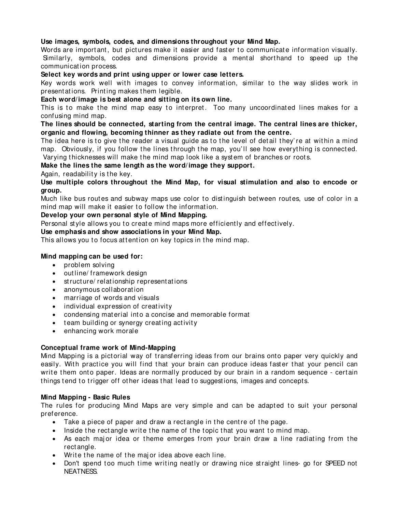# **Use images, symbols, codes, and dimensions throughout your Mind Map.**

Words are important, but pictures make it easier and faster to communicate information visually. Similarly, symbols, codes and dimensions provide a mental shorthand to speed up the communicat ion process.

# **Select key words and print using upper or lower case letters.**

Key words work well with images to convey information, similar to the way slides work in present at ions. Printing makes them legible.

#### **Each word/image is best alone and sitting on its own line.**

This is to make the mind map easy to interpret. Too many uncoordinated lines makes for a confusing mind map.

# **The lines should be connected, starting from the central image. The central lines are thicker, organic and flowing, becoming thinner as they radiate out from the centre.**

The idea here is to give the reader a visual guide as to the level of detail they're at within a mind map. Obviously, if you follow the lines through the map, you'll see how everything is connected. Varying thicknesses will make the mind map look like a system of branches or roots.

# **Make the lines the same length as the word/ image they support.**

Again, readability is the key.

**Use multiple colors throughout the Mind Map, for visual stimulation and also to encode or group.**

Much like bus routes and subway maps use color to distinguish between routes, use of color in a mind map will make it easier to follow the information.

#### **Develop your own personal style of Mind Mapping.**

Personal style allows you to create mind maps more efficiently and effectively.

# **Use emphasis and show associations in your Mind Map.**

This allows you to focus attention on key topics in the mind map.

#### **Mind mapping can be used for:**

- $\bullet$  problem solving
- outline/ framework design
- st ruct ure/ relat ionship represent at ions
- anonymous collaboration
- marriage of words and visuals
- individual expression of creativity
- condensing material into a concise and memorable format
- $\bullet$  team building or synergy creating activity
- enhancing work morale

# **Conceptual frame work of Mind-Mapping**

Mind Mapping is a pictorial way of transferring ideas from our brains onto paper very quickly and easily. With practice you will find that your brain can produce ideas faster that your pencil can write them onto paper. Ideas are normally produced by our brain in a random sequence - certain things tend to trigger off other ideas that lead to suggestions, images and concepts.

#### **Mind Mapping - Basic Rules**

The rules for producing Mind Maps are very simple and can be adapted to suit your personal preference.

- Take a piece of paper and draw a rectangle in the centre of the page.
- $\bullet$  Inside the rectangle write the name of the topic that you want to mind map.
- As each major idea or theme emerges from your brain draw a line radiating from the rect angle.
- Write the name of the major idea above each line.
- Don't spend too much time writing neatly or drawing nice straight lines- go for SPEED not NEATNESS.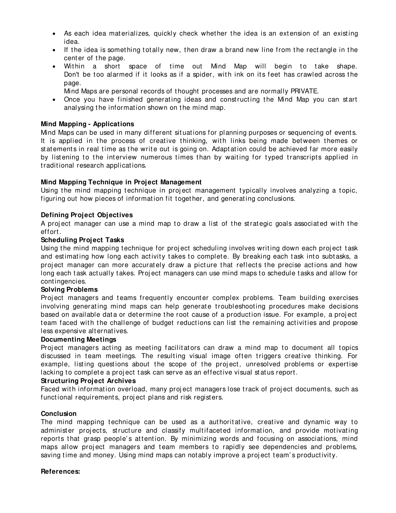- As each idea materializes, quickly check whether the idea is an extension of an existing idea.
- If the idea is something totally new, then draw a brand new line from the rectangle in the center of the page.
- Within a short space of time out Mind Map will begin to take shape. Don't be too alarmed if it looks as if a spider, with ink on its feet has crawled across the page.
	- Mind Maps are personal records of t hought processes and are normally PRIVATE.
- Once you have finished generating ideas and constructing the Mind Map you can start analysing the information shown on the mind map.

#### **Mind Mapping - Applications**

Mind Maps can be used in many different situations for planning purposes or sequencing of events. It is applied in the process of creative thinking, with links being made between themes or statements in real time as the write out is going on. Adaptation could be achieved far more easily by listening to the interview numerous times than by waiting for typed transcripts applied in traditional research applications.

# **Mind Mapping Technique in Project Management**

Using the mind mapping technique in project management typically involves analyzing a topic, figuring out how pieces of information fit together, and generating conclusions.

# **Defining Project Objectives**

A project manager can use a mind map to draw a list of the strategic goals associated with the effort .

#### **Scheduling Project Tasks**

Using the mind mapping technique for project scheduling involves writing down each project task and estimating how long each activity takes to complete. By breaking each task into subtasks, a project manager can more accurately draw a picture that reflects the precise actions and how long each task actually takes. Project managers can use mind maps to schedule tasks and allow for cont ingencies.

#### **Solving Problems**

Project managers and teams frequently encounter complex problems. Team building exercises involving generating mind maps can help generate troubleshooting procedures make decisions based on available data or determine the root cause of a production issue. For example, a project team faced with the challenge of budget reductions can list the remaining activities and propose less expensive alternatives.

#### **Documenting Meetings**

Project managers acting as meeting facilitators can draw a mind map to document all topics discussed in team meetings. The resulting visual image often triggers creative thinking. For example, listing questions about the scope of the project, unresolved problems or expertise lacking to complete a project task can serve as an effective visual status report.

#### **Structuring Project Archives**

Faced with information overload, many project managers lose track of project documents, such as functional requirements, project plans and risk registers.

#### **Conclusion**

The mind mapping technique can be used as a authoritative, creative and dynamic way to administer projects, structure and classify multifaceted information, and provide motivating reports that grasp people's attention. By minimizing words and focusing on associations, mind maps allow project managers and team members to rapidly see dependencies and problems, saving time and money. Using mind maps can notably improve a project team's productivity.

#### **References:**